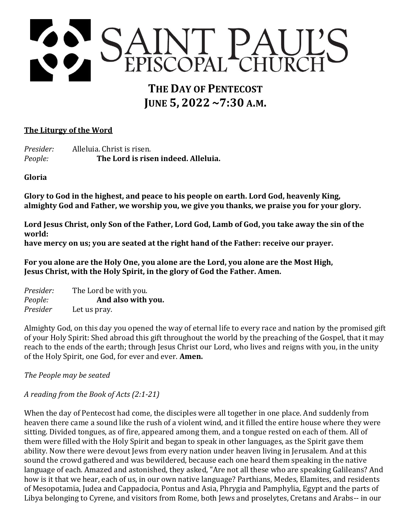

**THE DAY OF PENTECOST JUNE 5, 2022 ~7:30 A.M.**

#### **The Liturgy of the Word**

*Presider:* Alleluia. Christ is risen. *People:* **The Lord is risen indeed. Alleluia.**

**Gloria**

**Glory to God in the highest, and peace to his people on earth. Lord God, heavenly King, almighty God and Father, we worship you, we give you thanks, we praise you for your glory.**

**Lord Jesus Christ, only Son of the Father, Lord God, Lamb of God, you take away the sin of the world:**

**have mercy on us; you are seated at the right hand of the Father: receive our prayer.**

**For you alone are the Holy One, you alone are the Lord, you alone are the Most High, Jesus Christ, with the Holy Spirit, in the glory of God the Father. Amen.**

*Presider:* The Lord be with you. *People:* **And also with you.** *Presider* Let us pray.

Almighty God, on this day you opened the way of eternal life to every race and nation by the promised gift of your Holy Spirit: Shed abroad this gift throughout the world by the preaching of the Gospel, that it may reach to the ends of the earth; through Jesus Christ our Lord, who lives and reigns with you, in the unity of the Holy Spirit, one God, for ever and ever. **Amen.**

*The People may be seated*

*A reading from the Book of Acts (2:1-21)*

When the day of Pentecost had come, the disciples were all together in one place. And suddenly from heaven there came a sound like the rush of a violent wind, and it filled the entire house where they were sitting. Divided tongues, as of fire, appeared among them, and a tongue rested on each of them. All of them were filled with the Holy Spirit and began to speak in other languages, as the Spirit gave them ability. Now there were devout Jews from every nation under heaven living in Jerusalem. And at this sound the crowd gathered and was bewildered, because each one heard them speaking in the native language of each. Amazed and astonished, they asked, "Are not all these who are speaking Galileans? And how is it that we hear, each of us, in our own native language? Parthians, Medes, Elamites, and residents of Mesopotamia, Judea and Cappadocia, Pontus and Asia, Phrygia and Pamphylia, Egypt and the parts of Libya belonging to Cyrene, and visitors from Rome, both Jews and proselytes, Cretans and Arabs-- in our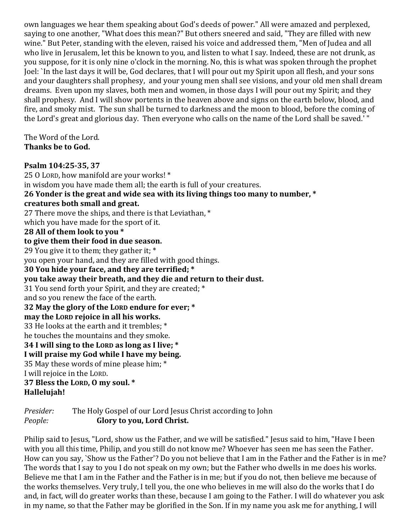own languages we hear them speaking about God's deeds of power." All were amazed and perplexed, saying to one another, "What does this mean?" But others sneered and said, "They are filled with new wine." But Peter, standing with the eleven, raised his voice and addressed them, "Men of Judea and all who live in Jerusalem, let this be known to you, and listen to what I say. Indeed, these are not drunk, as you suppose, for it is only nine o'clock in the morning. No, this is what was spoken through the prophet Joel: `In the last days it will be, God declares, that I will pour out my Spirit upon all flesh, and your sons and your daughters shall prophesy, and your young men shall see visions, and your old men shall dream dreams. Even upon my slaves, both men and women, in those days I will pour out my Spirit; and they shall prophesy. And I will show portents in the heaven above and signs on the earth below, blood, and fire, and smoky mist. The sun shall be turned to darkness and the moon to blood, before the coming of the Lord's great and glorious day. Then everyone who calls on the name of the Lord shall be saved.' "

The Word of the Lord. **Thanks be to God.**

#### **Psalm 104:25-35, 37**

25 O LORD, how manifold are your works! \* in wisdom you have made them all; the earth is full of your creatures. **26 Yonder is the great and wide sea with its living things too many to number, \* creatures both small and great.** 27 There move the ships, and there is that Leviathan,  $*$ which you have made for the sport of it. **28 All of them look to you \* to give them their food in due season.** 29 You give it to them; they gather it; \* you open your hand, and they are filled with good things. **30 You hide your face, and they are terrified; \* you take away their breath, and they die and return to their dust.** 31 You send forth your Spirit, and they are created; \* and so you renew the face of the earth. **32 May the glory of the LORD endure for ever; \* may the LORD rejoice in all his works.** 33 He looks at the earth and it trembles; \* he touches the mountains and they smoke. **34 I will sing to the LORD as long as I live; \* I will praise my God while I have my being.** 35 May these words of mine please him; \* I will rejoice in the LORD. **37 Bless the LORD, O my soul. \* Hallelujah!**

*Presider:* The Holy Gospel of our Lord Jesus Christ according to John *People:* **Glory to you, Lord Christ.**

Philip said to Jesus, "Lord, show us the Father, and we will be satisfied." Jesus said to him, "Have I been with you all this time, Philip, and you still do not know me? Whoever has seen me has seen the Father. How can you say, `Show us the Father'? Do you not believe that I am in the Father and the Father is in me? The words that I say to you I do not speak on my own; but the Father who dwells in me does his works. Believe me that I am in the Father and the Father is in me; but if you do not, then believe me because of the works themselves. Very truly, I tell you, the one who believes in me will also do the works that I do and, in fact, will do greater works than these, because I am going to the Father. I will do whatever you ask in my name, so that the Father may be glorified in the Son. If in my name you ask me for anything, I will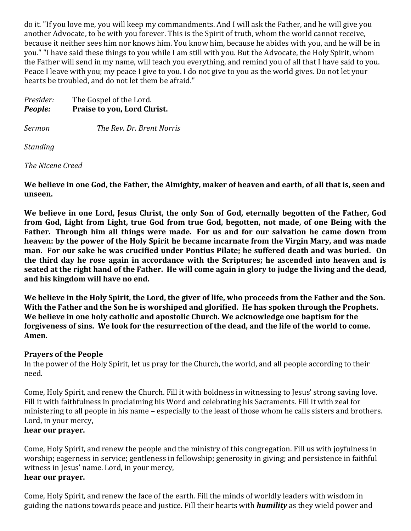do it. "If you love me, you will keep my commandments. And I will ask the Father, and he will give you another Advocate, to be with you forever. This is the Spirit of truth, whom the world cannot receive, because it neither sees him nor knows him. You know him, because he abides with you, and he will be in you." "I have said these things to you while I am still with you. But the Advocate, the Holy Spirit, whom the Father will send in my name, will teach you everything, and remind you of all that I have said to you. Peace I leave with you; my peace I give to you. I do not give to you as the world gives. Do not let your hearts be troubled, and do not let them be afraid."

| Presider: | The Gospel of the Lord.     |
|-----------|-----------------------------|
| People:   | Praise to you, Lord Christ. |

*Sermon The Rev. Dr. Brent Norris*

*Standing*

*The Nicene Creed*

**We believe in one God, the Father, the Almighty, maker of heaven and earth, of all that is, seen and unseen.**

**We believe in one Lord, Jesus Christ, the only Son of God, eternally begotten of the Father, God from God, Light from Light, true God from true God, begotten, not made, of one Being with the Father. Through him all things were made. For us and for our salvation he came down from heaven: by the power of the Holy Spirit he became incarnate from the Virgin Mary, and was made man. For our sake he was crucified under Pontius Pilate; he suffered death and was buried. On the third day he rose again in accordance with the Scriptures; he ascended into heaven and is seated at the right hand of the Father. He will come again in glory to judge the living and the dead, and his kingdom will have no end.**

**We believe in the Holy Spirit, the Lord, the giver of life, who proceeds from the Father and the Son. With the Father and the Son he is worshiped and glorified. He has spoken through the Prophets. We believe in one holy catholic and apostolic Church. We acknowledge one baptism for the forgiveness of sins. We look for the resurrection of the dead, and the life of the world to come. Amen.**

### **Prayers of the People**

In the power of the Holy Spirit, let us pray for the Church, the world, and all people according to their need.

Come, Holy Spirit, and renew the Church. Fill it with boldness in witnessing to Jesus' strong saving love. Fill it with faithfulness in proclaiming his Word and celebrating his Sacraments. Fill it with zeal for ministering to all people in his name – especially to the least of those whom he calls sisters and brothers. Lord, in your mercy,

## **hear our prayer.**

Come, Holy Spirit, and renew the people and the ministry of this congregation. Fill us with joyfulness in worship; eagerness in service; gentleness in fellowship; generosity in giving; and persistence in faithful witness in Jesus' name. Lord, in your mercy,

# **hear our prayer.**

Come, Holy Spirit, and renew the face of the earth. Fill the minds of worldly leaders with wisdom in guiding the nations towards peace and justice. Fill their hearts with *humility* as they wield power and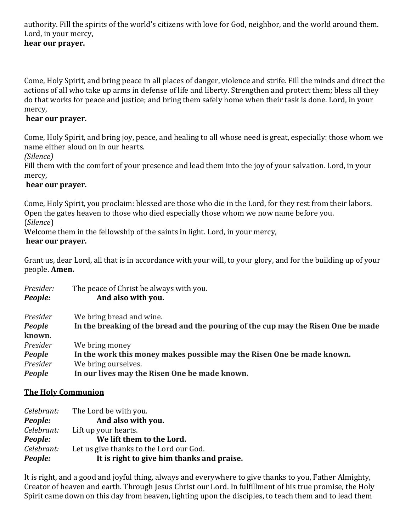authority. Fill the spirits of the world's citizens with love for God, neighbor, and the world around them. Lord, in your mercy, **hear our prayer.**

Come, Holy Spirit, and bring peace in all places of danger, violence and strife. Fill the minds and direct the actions of all who take up arms in defense of life and liberty. Strengthen and protect them; bless all they do that works for peace and justice; and bring them safely home when their task is done. Lord, in your mercy,

#### **hear our prayer.**

Come, Holy Spirit, and bring joy, peace, and healing to all whose need is great, especially: those whom we name either aloud on in our hearts.

*(Silence)* 

Fill them with the comfort of your presence and lead them into the joy of your salvation. Lord, in your mercy,

#### **hear our prayer.**

Come, Holy Spirit, you proclaim: blessed are those who die in the Lord, for they rest from their labors. Open the gates heaven to those who died especially those whom we now name before you. (*Silence*)

Welcome them in the fellowship of the saints in light. Lord, in your mercy,

#### **hear our prayer.**

Grant us, dear Lord, all that is in accordance with your will, to your glory, and for the building up of your people. **Amen.**

| Presider:     | The peace of Christ be always with you.                                           |
|---------------|-----------------------------------------------------------------------------------|
| People:       | And also with you.                                                                |
| Presider      | We bring bread and wine.                                                          |
| <b>People</b> | In the breaking of the bread and the pouring of the cup may the Risen One be made |
| known.        |                                                                                   |
| Presider      | We bring money                                                                    |
| <b>People</b> | In the work this money makes possible may the Risen One be made known.            |
| Presider      | We bring ourselves.                                                               |
| <b>People</b> | In our lives may the Risen One be made known.                                     |

#### **The Holy Communion**

| Celebrant: | The Lord be with you.                      |
|------------|--------------------------------------------|
| People:    | And also with you.                         |
| Celebrant: | Lift up your hearts.                       |
| People:    | We lift them to the Lord.                  |
| Celebrant: | Let us give thanks to the Lord our God.    |
| People:    | It is right to give him thanks and praise. |

It is right, and a good and joyful thing, always and everywhere to give thanks to you, Father Almighty, Creator of heaven and earth. Through Jesus Christ our Lord. In fulfillment of his true promise, the Holy Spirit came down on this day from heaven, lighting upon the disciples, to teach them and to lead them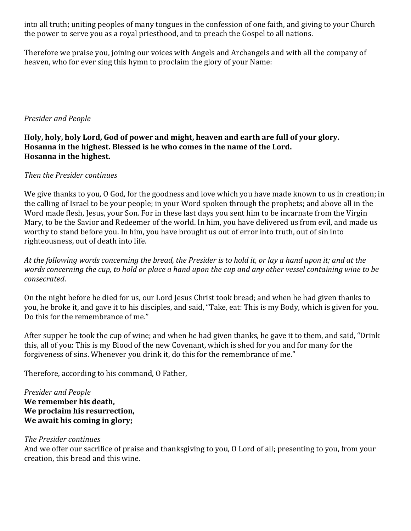into all truth; uniting peoples of many tongues in the confession of one faith, and giving to your Church the power to serve you as a royal priesthood, and to preach the Gospel to all nations.

Therefore we praise you, joining our voices with Angels and Archangels and with all the company of heaven, who for ever sing this hymn to proclaim the glory of your Name:

#### *Presider and People*

#### **Holy, holy, holy Lord, God of power and might, heaven and earth are full of your glory. Hosanna in the highest. Blessed is he who comes in the name of the Lord. Hosanna in the highest.**

#### *Then the Presider continues*

We give thanks to you, O God, for the goodness and love which you have made known to us in creation; in the calling of Israel to be your people; in your Word spoken through the prophets; and above all in the Word made flesh, Jesus, your Son. For in these last days you sent him to be incarnate from the Virgin Mary, to be the Savior and Redeemer of the world. In him, you have delivered us from evil, and made us worthy to stand before you. In him, you have brought us out of error into truth, out of sin into righteousness, out of death into life.

*At the following words concerning the bread, the Presider is to hold it, or lay a hand upon it; and at the words concerning the cup, to hold or place a hand upon the cup and any other vessel containing wine to be consecrated*.

On the night before he died for us, our Lord Jesus Christ took bread; and when he had given thanks to you, he broke it, and gave it to his disciples, and said, "Take, eat: This is my Body, which is given for you. Do this for the remembrance of me."

After supper he took the cup of wine; and when he had given thanks, he gave it to them, and said, "Drink this, all of you: This is my Blood of the new Covenant, which is shed for you and for many for the forgiveness of sins. Whenever you drink it, do this for the remembrance of me."

Therefore, according to his command, O Father,

#### *Presider and People* **We remember his death, We proclaim his resurrection, We await his coming in glory;**

#### *The Presider continues*

And we offer our sacrifice of praise and thanksgiving to you, O Lord of all; presenting to you, from your creation, this bread and this wine.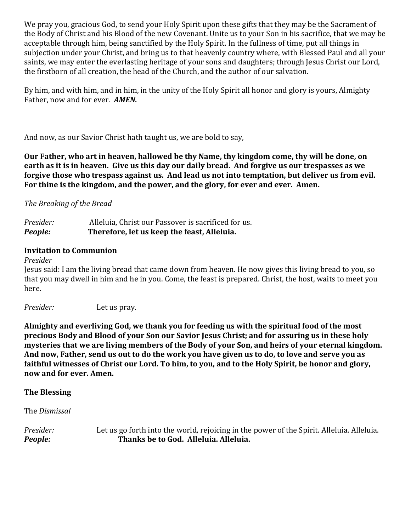We pray you, gracious God, to send your Holy Spirit upon these gifts that they may be the Sacrament of the Body of Christ and his Blood of the new Covenant. Unite us to your Son in his sacrifice, that we may be acceptable through him, being sanctified by the Holy Spirit. In the fullness of time, put all things in subjection under your Christ, and bring us to that heavenly country where, with Blessed Paul and all your saints, we may enter the everlasting heritage of your sons and daughters; through Jesus Christ our Lord, the firstborn of all creation, the head of the Church, and the author of our salvation.

By him, and with him, and in him, in the unity of the Holy Spirit all honor and glory is yours, Almighty Father, now and for ever. *AMEN.*

And now, as our Savior Christ hath taught us, we are bold to say,

**Our Father, who art in heaven, hallowed be thy Name, thy kingdom come, thy will be done, on earth as it is in heaven. Give us this day our daily bread. And forgive us our trespasses as we forgive those who trespass against us. And lead us not into temptation, but deliver us from evil. For thine is the kingdom, and the power, and the glory, for ever and ever. Amen.**

*The Breaking of the Bread*

*Presider:* Alleluia, Christ our Passover is sacrificed for us. *People:* **Therefore, let us keep the feast, Alleluia.**

## **Invitation to Communion**

*Presider* 

Jesus said: I am the living bread that came down from heaven. He now gives this living bread to you, so that you may dwell in him and he in you. Come, the feast is prepared. Christ, the host, waits to meet you here.

*Presider:* Let us pray.

**Almighty and everliving God, we thank you for feeding us with the spiritual food of the most precious Body and Blood of your Son our Savior Jesus Christ; and for assuring us in these holy mysteries that we are living members of the Body of your Son, and heirs of your eternal kingdom. And now, Father, send us out to do the work you have given us to do, to love and serve you as faithful witnesses of Christ our Lord. To him, to you, and to the Holy Spirit, be honor and glory, now and for ever. Amen.**

### **The Blessing**

The *Dismissal*

*Presider:* Let us go forth into the world, rejoicing in the power of the Spirit. Alleluia. Alleluia. *People:* **Thanks be to God. Alleluia. Alleluia.**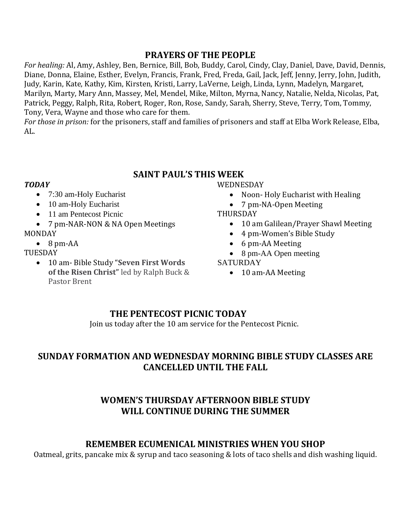## **PRAYERS OF THE PEOPLE**

*For healing:* Al, Amy, Ashley, Ben, Bernice, Bill, Bob, Buddy, Carol, Cindy, Clay, Daniel, Dave, David, Dennis, Diane, Donna, Elaine, Esther, Evelyn, Francis, Frank, Fred, Freda, Gail, Jack, Jeff, Jenny, Jerry, John, Judith, Judy, Karin, Kate, Kathy, Kim, Kirsten, Kristi, Larry, LaVerne, Leigh, Linda, Lynn, Madelyn, Margaret, Marilyn, Marty, Mary Ann, Massey, Mel, Mendel, Mike, Milton, Myrna, Nancy, Natalie, Nelda, Nicolas, Pat, Patrick, Peggy, Ralph, Rita, Robert, Roger, Ron, Rose, Sandy, Sarah, Sherry, Steve, Terry, Tom, Tommy, Tony, Vera, Wayne and those who care for them.

*For those in prison:* for the prisoners, staff and families of prisoners and staff at Elba Work Release, Elba,  $AI<sub>1</sub>$ 

# **SAINT PAUL'S THIS WEEK**

#### *TODAY*

- 7:30 am-Holy Eucharist
- 10 am-Holy Eucharist
- 11 am Pentecost Picnic
- 7 pm-NAR-NON & NA Open Meetings MONDAY
- 8 pm-AA
- **TUESDAY** 
	- 10 am- Bible Study "**Seven First Words of the Risen Christ"** led by Ralph Buck & Pastor Brent

WEDNESDAY

- Noon- Holy Eucharist with Healing
- 7 pm-NA-Open Meeting

THURSDAY

- 10 am Galilean/Prayer Shawl Meeting
- 4 pm-Women's Bible Study
- 6 pm-AA Meeting
- 8 pm-AA Open meeting
- **SATURDAY** 
	- 10 am-AA Meeting

# **THE PENTECOST PICNIC TODAY**

Join us today after the 10 am service for the Pentecost Picnic.

# **SUNDAY FORMATION AND WEDNESDAY MORNING BIBLE STUDY CLASSES ARE CANCELLED UNTIL THE FALL**

# **WOMEN'S THURSDAY AFTERNOON BIBLE STUDY WILL CONTINUE DURING THE SUMMER**

## **REMEMBER ECUMENICAL MINISTRIES WHEN YOU SHOP**

Oatmeal, grits, pancake mix & syrup and taco seasoning & lots of taco shells and dish washing liquid.